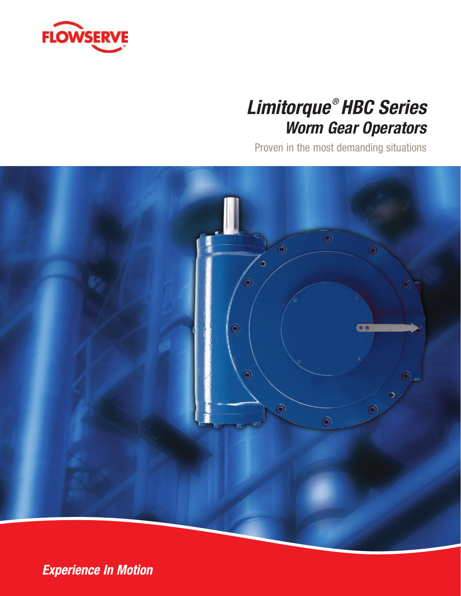

# *Limitorque ® HBC Series Worm Gear Operators*

Proven in the most demanding situations



**Experience In Motion**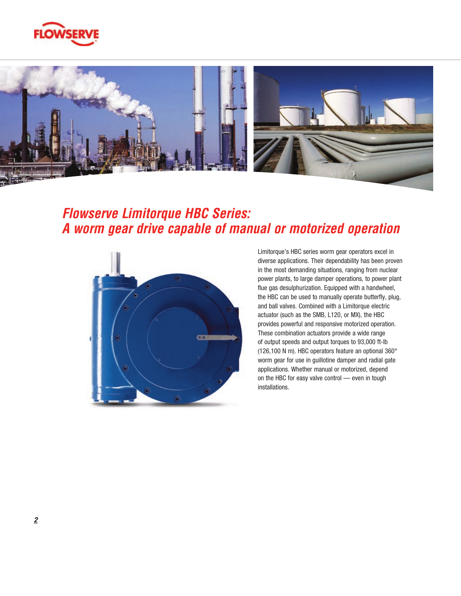



## *Flowserve Limitorque HBC Series: A worm gear drive capable of manual or motorized operation*



Limitorque's HBC series worm gear operators excel in diverse applications. Their dependability has been proven in the most demanding situations, ranging from nuclear power plants, to large damper operations, to power plant flue gas desulphurization. Equipped with a handwheel, the HBC can be used to manually operate butterfly, plug, and ball valves. Combined with a Limitorque electric actuator (such as the SMB, L120, or MX), the HBC provides powerful and responsive motorized operation. These combination actuators provide a wide range of output speeds and output torques to 93,000 ft-lb (126,100 N m). HBC operators feature an optional 360° worm gear for use in guillotine damper and radial gate applications. Whether manual or motorized, depend on the HBC for easy valve control — even in tough installations.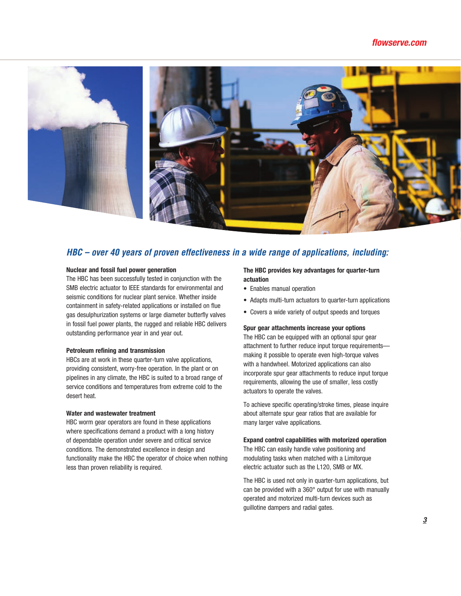#### *flowserve.com*



### *HBC – over 40 years of proven effectiveness in a wide range of applications, including:*

#### **Nuclear and fossil fuel power generation**

The HBC has been successfully tested in conjunction with the SMB electric actuator to IEEE standards for environmental and seismic conditions for nuclear plant service. Whether inside containment in safety-related applications or installed on flue gas desulphurization systems or large diameter butterfly valves in fossil fuel power plants, the rugged and reliable HBC delivers outstanding performance year in and year out.

#### **Petroleum refining and transmission**

HBCs are at work in these quarter-turn valve applications, providing consistent, worry-free operation. In the plant or on pipelines in any climate, the HBC is suited to a broad range of service conditions and temperatures from extreme cold to the desert heat.

#### **Water and wastewater treatment**

HBC worm gear operators are found in these applications where specifications demand a product with a long history of dependable operation under severe and critical service conditions. The demonstrated excellence in design and functionality make the HBC the operator of choice when nothing less than proven reliability is required.

#### **The HBC provides key advantages for quarter-turn actuation**

- Enables manual operation
- Adapts multi-turn actuators to quarter-turn applications
- Covers a wide variety of output speeds and torques

#### **Spur gear attachments increase your options**

The HBC can be equipped with an optional spur gear attachment to further reduce input torque requirements making it possible to operate even high-torque valves with a handwheel. Motorized applications can also incorporate spur gear attachments to reduce input torque requirements, allowing the use of smaller, less costly actuators to operate the valves.

To achieve specific operating/stroke times, please inquire about alternate spur gear ratios that are available for many larger valve applications.

#### **Expand control capabilities with motorized operation**

The HBC can easily handle valve positioning and modulating tasks when matched with a Limitorque electric actuator such as the L120, SMB or MX.

The HBC is used not only in quarter-turn applications, but can be provided with a 360° output for use with manually operated and motorized multi-turn devices such as guillotine dampers and radial gates.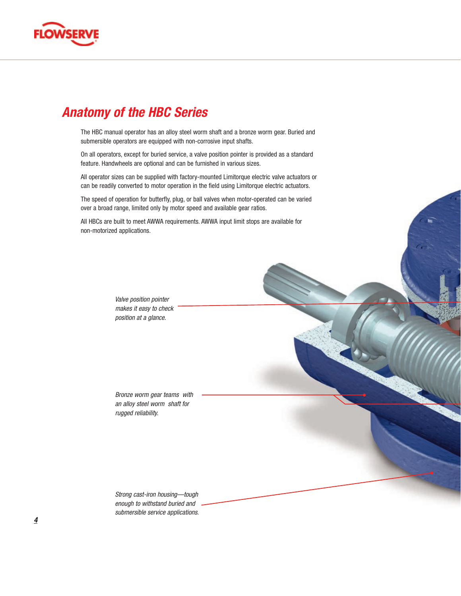

## *Anatomy of the HBC Series*

The HBC manual operator has an alloy steel worm shaft and a bronze worm gear. Buried and submersible operators are equipped with non-corrosive input shafts.

On all operators, except for buried service, a valve position pointer is provided as a standard feature. Handwheels are optional and can be furnished in various sizes.

All operator sizes can be supplied with factory-mounted Limitorque electric valve actuators or can be readily converted to motor operation in the field using Limitorque electric actuators.

The speed of operation for butterfly, plug, or ball valves when motor-operated can be varied over a broad range, limited only by motor speed and available gear ratios.

All HBCs are built to meet AWWA requirements. AWWA input limit stops are available for non-motorized applications.

> *Valve position pointer makes it easy to check position at a glance.*

*Bronze worm gear teams with an alloy steel worm shaft for rugged reliability.*

*Strong cast-iron housing—tough enough to withstand buried and submersible service applications.*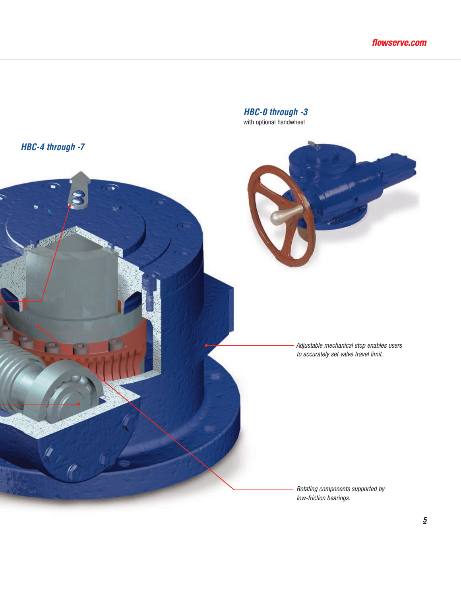

*HBC-0 through -3* with optional handwheel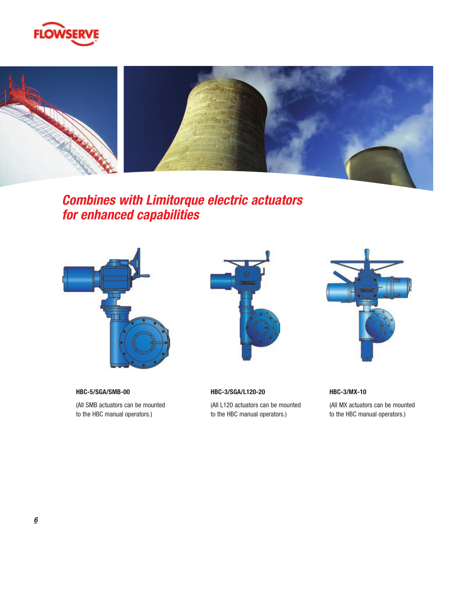



*Combines with Limitorque electric actuators for enhanced capabilities*



**HBC-5/SGA/SMB-00** (All SMB actuators can be mounted to the HBC manual operators.)



**HBC-3/SGA/L120-20**

(All L120 actuators can be mounted to the HBC manual operators.)



**HBC-3/MX-10**

(All MX actuators can be mounted to the HBC manual operators.)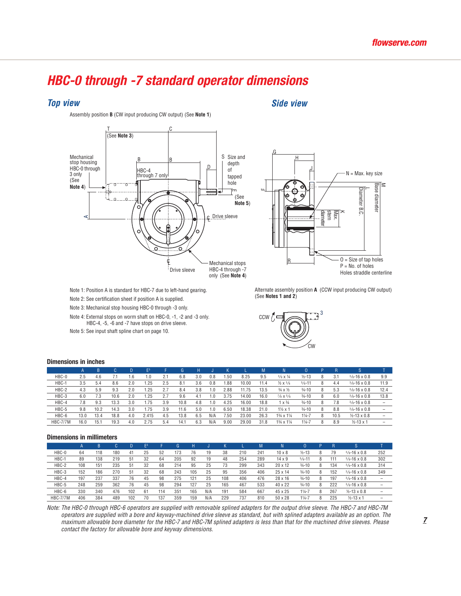## *HBC-0 through -7 standard operator dimensions*

#### *Top view Side view*





Note 1: Position A is standard for HBC-7 due to left-hand gearing.

Note 2: See certification sheet if position A is supplied.

Note 3: Mechanical stop housing HBC-0 through -3 only.

Note 4: External stops on worm shaft on HBC-0, -1, -2 and -3 only. HBC-4, -5, -6 and -7 have stops on drive sleeve.

Note 5: See input shaft spline chart on page 10.

Alternate assembly position **A** (CCW input producing CW output) (See **Notes 1 and 2**)



#### **Dimensions in inches**

|                 |      | ĸ    |      | D   | E <sub>5</sub> |     | G    |     |     |      |       | М    |                                     |                   |   |      | 5                       |      |
|-----------------|------|------|------|-----|----------------|-----|------|-----|-----|------|-------|------|-------------------------------------|-------------------|---|------|-------------------------|------|
| HBC-0           | 2.5  | 4.6  |      | 1.6 | 1.0            | 2.1 | 6.8  | 3.0 | 0.8 | .50  | 8.25  | 9.5  | $3/8 \times 1/4$                    | $1/2 - 13$        | 8 | 3.1  | $\frac{3}{8}$ -16 x 0.8 | 9.9  |
| HBC-1           | 3.5  | 5.4  | 8.6  | 2.0 | i.25           | 2.5 | 8.1  | 3.6 | 0.8 | .88  | 10.00 | 11.4 | $\frac{1}{2} \times \frac{3}{8}$    | $5/8 - 11$        | 8 | 4.4  | $3/8 - 16 \times 0.8$   | 11.9 |
| HBC-2           | 4.3  | 5.9  | 9.3  | 2.0 | i.25           |     | 8.4  | 3.8 | 1.0 | 2.88 | 11.75 | 13.5 | $\frac{3}{4} \times \frac{1}{2}$    | $3/4 - 10$        | 8 | 5.3  | $3/8 - 16 \times 0.8$   | 12.4 |
| HBC-3           | 6.0  | 7.3  | 10.6 | 2.0 | 25             | 2.7 | 9.6  | 4.1 | .0  | 3.75 | 14.00 | 16.0 | $\frac{7}{8}$ X $\frac{5}{8}$       | $3/4 - 10$        | 8 | 6.0  | $3/8 - 16 \times 0.8$   | 13.8 |
| HBC-4           | 7.8  | 9.3  | 13.3 | 3.0 | i.75           | 3.9 | 10.8 | 4.8 | i.O | 4.25 | 16.00 | 18.8 | X <sup>3</sup> /4                   | $3/4 - 10$        | 8 | 7.8  | $3/8 - 16 \times 0.8$   |      |
| HBC-5           | 9.8  | 10.2 | 14.3 | 3.0 | 1.75           | 3.9 | 11.6 | 5.0 | i.O | 6.50 | 18.38 | 21.0 | $1\frac{1}{2}x$ 1                   | $3/4 - 10$        | 8 | 8.8  | $3/8 - 16 \times 0.8$   |      |
| HBC-6           | 13.0 | 13.4 | 18.8 | 4.0 | 2.415          | 4.5 | 13.8 | 6.5 | N/A | /.50 | 23.00 | 26.3 | 13/4 x 11/4                         | $1\frac{1}{4}$ -7 | 8 | 10.5 | $1/2 - 13 \times 0.8$   | -    |
| <b>HBC-7/7M</b> | 16.0 | 15.1 | 19.3 | 4.0 | 2.75           | 5.4 | 14.1 | 6.3 | N/A | 9.00 | 29.00 | 31.8 | 13/ <sub>4</sub> x 11/ <sub>4</sub> | $1\frac{1}{4}$ -7 | 8 | 8.9  | $1/2 - 13 \times 1$     |      |

#### **Dimensions in millimeters**

|                 |     | B   |     | D   | $E^5$ |     | G   |     |     |                 |     | M   |                |                    |   | R   |                       |                          |
|-----------------|-----|-----|-----|-----|-------|-----|-----|-----|-----|-----------------|-----|-----|----------------|--------------------|---|-----|-----------------------|--------------------------|
| HBC-0           | 64  | 118 | 180 | 41  | 25    | 52  | 173 | 76  | 19  | 38              | 210 | 241 | $10 \times 8$  | $1/2 - 13$         | 8 | 79  | $3/8 - 16 \times 0.8$ | 252                      |
| HBC-1           | 89  | 138 | 219 | 51  | 32    | 64  | 205 | 92  | 19  | 48              | 254 | 289 | $14 \times 9$  | $5/8 - 11$         | 8 | 111 | $3/8 - 16 \times 0.8$ | 302                      |
| HBC-2           | 108 | 151 | 235 | 51  | 32    | 68  | 214 | 95  | 25  | 73              | 299 | 343 | $20 \times 12$ | $\frac{3}{4} - 10$ | 8 | 134 | $3/8 - 16 \times 0.8$ | 314                      |
| HBC-3           | 152 | 186 | 270 | 51  | 32    | 68  | 243 | 105 | 25  | 95              | 356 | 406 | 25 x 14        | $\frac{3}{4} - 10$ | 8 | 152 | $3/8 - 16 \times 0.8$ | 349                      |
| HBC-4           | 197 | 237 | 337 | 76  | 45    | 98  | 275 | 121 | 25  | 108             | 406 | 476 | $28 \times 16$ | $\frac{3}{4} - 10$ | 8 | 197 | $3/8 - 16 \times 0.8$ | $\sim$                   |
| HBC-5           | 248 | 259 | 362 | 76  | 45    | 98  | 294 | 127 | 25  | 165             | 467 | 533 | 40 x 22        | $\frac{3}{4} - 10$ | 8 | 222 | $3/8 - 16 \times 0.8$ | -                        |
| HBC-6           | 330 | 340 | 476 | 102 | 61    | 114 | 351 | 165 | N/A | 19 <sup>1</sup> | 584 | 667 | 45 x 25        | $11/4 - 7$         | 8 | 267 | $1/2 - 13 \times 0.8$ | $\overline{\phantom{a}}$ |
| <b>HBC-7/7M</b> | 406 | 384 | 489 | 102 | 70    | 137 | 359 | 159 | N/A | 229             | 737 | 810 | 50 x 28        | $11/4 - 7$         | 8 | 225 | $1/2 - 13 \times 1$   | -                        |

*Note: The HBC-0 through HBC-6 operators are supplied with removable splined adapters for the output drive sleeve. The HBC-7 and HBC-7M operators are supplied with a bore and keyway-machined drive sleeve as standard, but with splined adapters available as an option. The maximum allowable bore diameter for the HBC-7 and HBC-7M splined adapters is less than that for the machined drive sleeves. Please contact the factory for allowable bore and keyway dimensions.*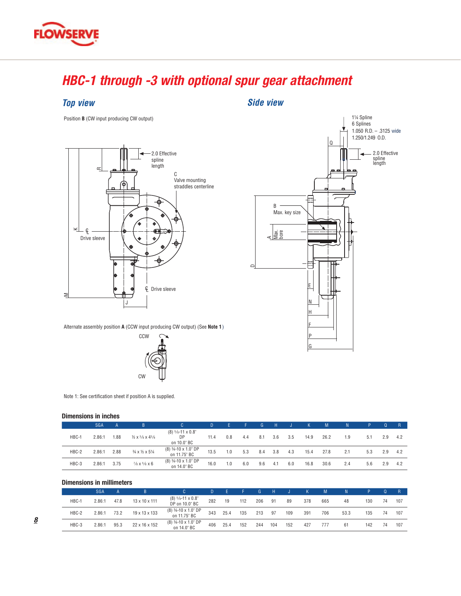# *HBC-1 through -3 with optional spur gear attachment*

**Side view** 

### *Top view*

F

Position **B** (CW input producing CW output)





Alternate assembly position **A** (CCW input producing CW output) (See **Note 1**)



Note 1: See certification sheet if position A is supplied.

#### **Dimensions in inches**

|       | <b>SGA</b> | A    | B.                                                   |                                          | D    | 1 F J | <b>ALEX</b> | G.  | -H  |     | K    | M    | N   | P   | $\Omega$ | $\mathsf{R}$ |
|-------|------------|------|------------------------------------------------------|------------------------------------------|------|-------|-------------|-----|-----|-----|------|------|-----|-----|----------|--------------|
| HBC-1 | 2.86:1     | 1.88 | $\frac{1}{2} \times \frac{3}{8} \times \frac{43}{8}$ | $(8)$ 5/8-11 x 0.8"<br>DP<br>on 10.0" BC | 11.4 | 0.8   | 4.4         | 8.1 | 3.6 | 3.5 | 14.9 | 26.2 | 1.9 | 5.1 | 2.9      | 4.2          |
| HBC-2 | 2.86:1     | 2.88 | $\frac{3}{4} \times \frac{1}{2} \times 5\frac{1}{4}$ | (8) 3/4-10 x 1.0" DP<br>on 11.75" BC     | 13.5 | 1.0   | 5.3         | 8.4 | 3.8 | 4.3 | 15.4 | 27.8 | 2.1 | 5.3 | 2.9      | 4.2          |
| HBC-3 | 2.86:1     | 3.75 | $\frac{7}{8}$ X $\frac{5}{8}$ X 6                    | (8) 3/4-10 x 1.0" DP<br>on 14.0" BC      | 16.0 | 1.0   | 6.0         | 9.6 | 4.1 | 6.0 | 16.8 | 30.6 | 2.4 | 5.6 | 2.9      | 4.2          |

#### **Dimensions in millimeters**

|       | SGA    |      |                           | C.                                     | D.  | <b>AFT</b> |     | G.  | H   |     |     | M   | N.   |     |    |     |
|-------|--------|------|---------------------------|----------------------------------------|-----|------------|-----|-----|-----|-----|-----|-----|------|-----|----|-----|
| HBC-1 | 2.86:1 | 47.8 | $13 \times 10 \times 111$ | $(8)$ 5/8-11 x 0.8"<br>DP on 10.0" BC  | 282 | 19         | 112 | 206 | 91  | 89  | 378 | 665 | 48   | 130 | 74 | 107 |
| HBC-2 | 2.86:1 | 73.2 | 19 x 13 x 133             | $(8)$ 3⁄4-10 x 1.0" DP<br>on 11.75" BC | 343 | 25.4       | 135 | 213 | 97  | 109 | 391 | 706 | 53.3 | 135 | 74 | 107 |
| HBC-3 | 2.86:  | 95.3 | 22 x 16 x 152             | (8) 3/4-10 x 1.0" DP<br>on 14.0" BC    | 406 | 25.4       | 152 | 244 | 104 | 152 | 427 | 777 | 61   | 142 | 74 | 107 |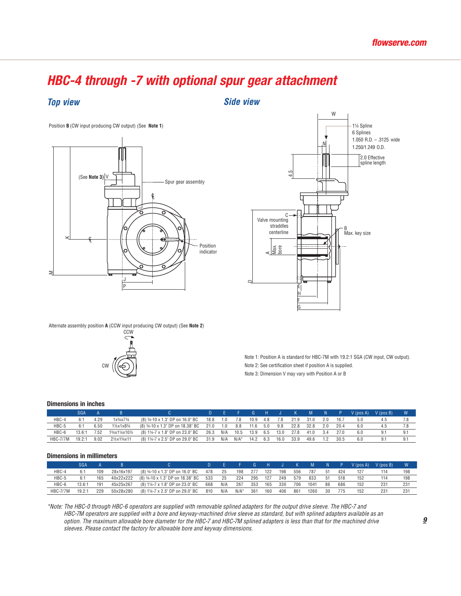#### *HBC-4 through -7 with optional spur gear attachment* Position **B** (CW input producing CW output) (See **Note 1**)

*Top view Side view*







Alternate assembly position **A** (CCW input producing CW output) (See **Note 2**) Alternate assembly position **A** (CCW input producing CW output) (See **Note 2**)



Note 1: Position A is standard for HBC-7M with 19.2:1 SGA (CW input, CW output). Note 2: See certification sheet if position A is supplied. Note 3: Dimension V may vary with Position A or B

### **Dimensions in inches**

| $\blacksquare$  |            |      |                    |                                           |          |     |                     |           |       |      |      |             |     |      |                       |     |     |
|-----------------|------------|------|--------------------|-------------------------------------------|----------|-----|---------------------|-----------|-------|------|------|-------------|-----|------|-----------------------|-----|-----|
|                 | <b>SGA</b> |      |                    |                                           |          |     | and Barbara Barbara |           |       |      |      | G H J K M N |     |      | P V (pos A) V (pos B) |     | W.  |
| HBC-4           | 6:1        | 4.29 | $1x^{3}/4x7^{3}/4$ | (8) 34-10 x 1.3" DP on 16.0" BC           | 18.8 1.0 |     | 7.8                 | 10.9      | - 4.8 | 7.8  | 21.9 | 31.0        | 2.0 | 16.7 | 5.0                   | 4.5 |     |
| HBC-5           | 6:1        | 6.50 | 11/2x1x83/4        | (8) 34-10 x 1.3" DP on 18.38" BC 21.0 1.0 |          |     | 8.8                 | 11.6      | 5.0   | 9.8  | 22.8 | 32.8        | 2.0 | 20.4 | 6.0                   | 4.5 |     |
| HBC-6           | 13.6:1     | 7.52 | 13/4x11/4x101/2    | (8) 1¼-7 x 1.8" DP on 23.0" BC            | 26.3 N/A |     |                     | 10.5 13.9 | 6.5   | 13.0 | 27.8 | 41.0        | 3.4 | 27.0 | 6.0                   | 9.1 | 9.1 |
| <b>HBC-7/7M</b> | 19.2:1     | 9.02 | 21/2x13/4x11       | (8) 11/4-7 x 2.5" DP on 29.0" BC          | 31.9     | N/A | $N/A^*$             | 14.2      | 6.3   | 16.0 | 33.9 | 49.6        | 1.2 | 30.5 | 6.0                   | 9.1 | 9.1 |

#### **Dimensions in millimeters**

|                 | SGA    |     |           |                                  |     |     |         | G   | - н |     |     | M    |     | P.  | $V$ (pos A) | $V$ (pos B) |     |
|-----------------|--------|-----|-----------|----------------------------------|-----|-----|---------|-----|-----|-----|-----|------|-----|-----|-------------|-------------|-----|
| HBC-4           |        | 109 | 28x16x197 | (8) 34-10 x 1.3" DP on 16.0" BC  | 478 | 25  | 198     | 277 | 122 | 198 | 556 | 787  | -51 | 424 | 127         |             | 198 |
| HBC-5           |        | 165 | 40x22x222 | (8) 34-10 x 1.3" DP on 18.38" BC | 533 | 25  | 224     | 295 | 127 | 249 | 579 | 833  | -51 | 518 | 152         | 114         | 198 |
| HBC-6           | 13.6:1 | 191 | 45x25x267 | (8) 11/4-7 x 1.8" DP on 23.0" BC | 668 | N/A | 267     | 353 | 165 | 330 | 706 | 1041 | 86  | 686 | 152         | 231         | 231 |
| <b>HBC-7/7M</b> | 19.2:1 | 229 | 50x28x280 | (8) 11/4-7 x 2.5" DP on 29.0" BC | 810 | N/A | $N/A^*$ | 361 | 160 | 406 | 861 | 1260 | 30  | 775 | 152         | 231         | 231 |

*\*Note: The HBC-0 through HBC-6 operators are supplied with removable splined adapters for the output drive sleeve. The HBC-7 and HBC-7M operators are supplied with a bore and keyway-machined drive sleeve as standard, but with splined adapters available as an option. The maximum allowable bore diameter for the HBC-7 and HBC-7M splined adapters is less than that for the machined drive sleeves. Please contact the factory for allowable bore and keyway dimensions.*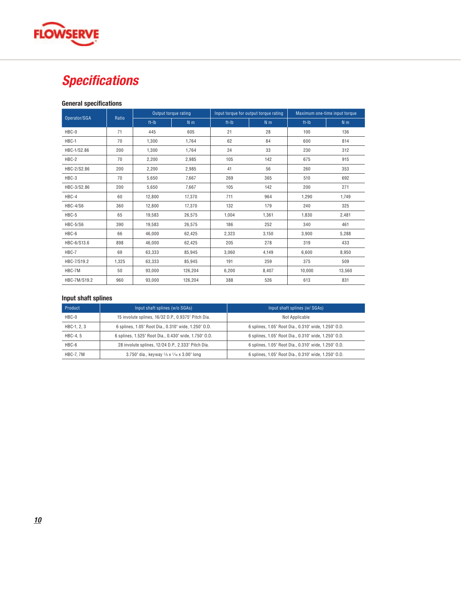

## *Specifications*

#### **General specifications**

| Operator/SGA    | Ratio |         | Output torque rating |       | Input torque for output torque rating | Maximum one-time input torque |                |  |  |
|-----------------|-------|---------|----------------------|-------|---------------------------------------|-------------------------------|----------------|--|--|
|                 |       | $ft-lb$ | N <sub>m</sub>       | ft-Ib | N <sub>m</sub>                        | ft-Ib                         | N <sub>m</sub> |  |  |
| HBC-0           | 71    | 445     | 605                  | 21    | 28                                    | 100                           | 136            |  |  |
| HBC-1           | 70    | 1,300   | 1,764                | 62    | 84                                    | 600                           | 814            |  |  |
| HBC-1/S2.86     | 200   | 1.300   | 1.764                | 24    | 33                                    | 230                           | 312            |  |  |
| HBC-2           | 70    | 2,200   | 2,985                | 105   | 142                                   | 675                           | 915            |  |  |
| HBC-2/S2.86     | 200   | 2,200   | 2,985                | 41    | 56                                    | 260                           | 353            |  |  |
| HBC-3           | 70    | 5.650   | 7.667                | 269   | 365                                   | 510                           | 692            |  |  |
| HBC-3/S2.86     | 200   | 5,650   | 7,667                | 105   | 142                                   | 200                           | 271            |  |  |
| HBC-4           | 60    | 12,800  | 17,370               | 711   | 964                                   | 1,290                         | 1,749          |  |  |
| <b>HBC-4/S6</b> | 360   | 12,800  | 17,370               | 132   | 179                                   | 240                           | 325            |  |  |
| HBC-5           | 65    | 19,583  | 26,575               | 1.004 | 1,361                                 | 1,830                         | 2.481          |  |  |
| <b>HBC-5/S6</b> | 390   | 19,583  | 26,575               | 186   | 252                                   | 340                           | 461            |  |  |
| HBC-6           | 66    | 46,000  | 62,425               | 2,323 | 3,150                                 | 3,900                         | 5,288          |  |  |
| HBC-6/S13.6     | 898   | 46,000  | 62,425               | 205   | 278                                   | 319                           | 433            |  |  |
| HBC-7           | 69    | 63,333  | 85.945               | 3.060 | 4,149                                 | 6.600                         | 8.950          |  |  |
| HBC-7/S19.2     | 1,325 | 63,333  | 85.945               | 191   | 259                                   | 375                           | 509            |  |  |
| HBC-7M          | 50    | 93,000  | 126,204              | 6,200 | 8,407                                 | 10,000                        | 13,560         |  |  |
| HBC-7M/S19.2    | 960   | 93.000  | 126.204              | 388   | 526                                   | 613                           | 831            |  |  |

#### **Input shaft splines**

| Product     | Input shaft splines (w/o SGAs)                                  | Input shaft splines (w/ SGAs)                        |
|-------------|-----------------------------------------------------------------|------------------------------------------------------|
| HBC-0       | 15 involute splines, 16/32 D.P., 0.9375" Pitch Dia.             | Not Applicable                                       |
| HBC-1, 2, 3 | 6 splines, 1.05" Root Dia., 0.310" wide, 1.250" O.D.            | 6 splines, 1.05" Root Dia., 0.310" wide, 1.250" O.D. |
| HBC-4.5     | 6 splines, 1.525" Root Dia., 0.430" wide, 1.750" O.D.           | 6 splines, 1.05" Root Dia., 0.310" wide, 1.250" O.D. |
| HBC-6       | 28 involute splines, 12/24 D.P., 2.333" Pitch Dia.              | 6 splines, 1.05" Root Dia., 0.310" wide, 1.250" O.D. |
| HBC-7, 7M   | 3.750" dia., keyway $\frac{7}{8}$ x $\frac{7}{16}$ x 3.00" long | 6 splines, 1.05" Root Dia., 0.310" wide, 1.250" O.D. |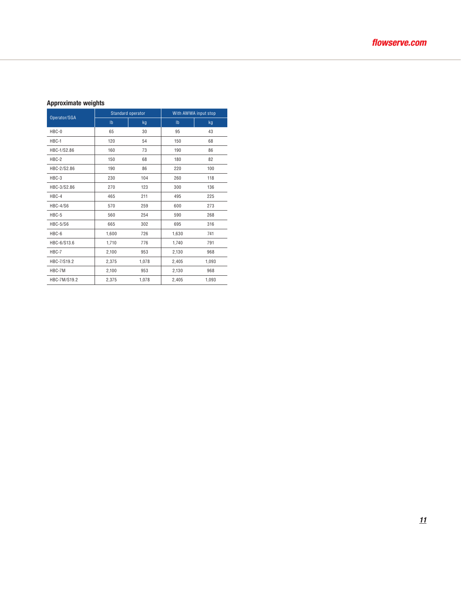#### **Approximate weights**

| Operator/SGA    |                           | Standard operator | With AWWA input stop |       |  |  |  |
|-----------------|---------------------------|-------------------|----------------------|-------|--|--|--|
|                 | $\mathsf{I}^{\mathsf{b}}$ | kg                | I <sub>b</sub>       | kg    |  |  |  |
| HBC-0           | 65                        | 30                | 95                   | 43    |  |  |  |
| HBC-1           | 120                       | 54                | 150                  | 68    |  |  |  |
| HBC-1/S2.86     | 160                       | 73                | 190                  | 86    |  |  |  |
| HBC-2           | 150                       | 68                | 180                  | 82    |  |  |  |
| HBC-2/S2.86     | 190                       | 86                | 220                  | 100   |  |  |  |
| HBC-3           | 230                       | 104               | 260                  | 118   |  |  |  |
| HBC-3/S2.86     | 270                       | 123               | 300                  | 136   |  |  |  |
| HBC-4           | 465                       | 211               | 495                  | 225   |  |  |  |
| <b>HBC-4/S6</b> | 570                       | 259               | 600                  | 273   |  |  |  |
| HBC-5           | 560                       | 254               | 590                  | 268   |  |  |  |
| <b>HBC-5/S6</b> | 665                       | 302               | 695                  | 316   |  |  |  |
| HBC-6           | 1,600                     | 726               | 1,630                | 741   |  |  |  |
| HBC-6/S13.6     | 1,710                     | 776               | 1,740                | 791   |  |  |  |
| HBC-7           | 2,100                     | 953               | 2,130                | 968   |  |  |  |
| HBC-7/S19.2     | 2,375                     | 1,078             | 2,405                | 1,093 |  |  |  |
| HBC-7M          | 2,100                     | 953               | 2,130                | 968   |  |  |  |
| HBC-7M/S19.2    | 2,375                     | 1,078             | 2,405                | 1,093 |  |  |  |